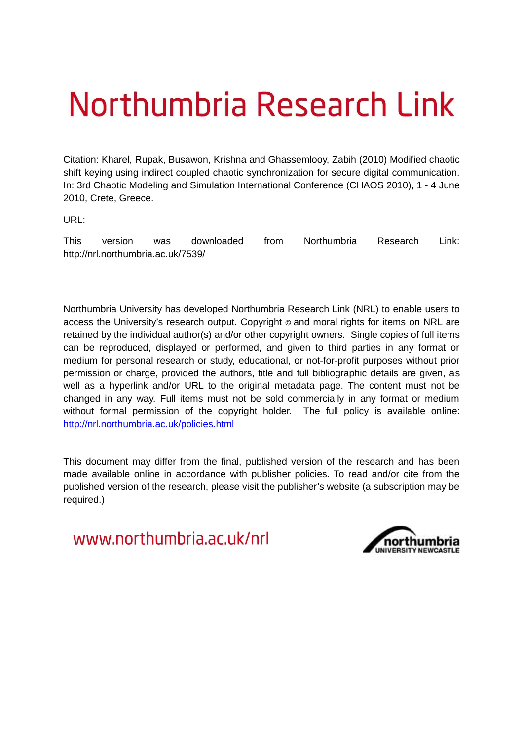# Northumbria Research Link

Citation: Kharel, Rupak, Busawon, Krishna and Ghassemlooy, Zabih (2010) Modified chaotic shift keying using indirect coupled chaotic synchronization for secure digital communication. In: 3rd Chaotic Modeling and Simulation International Conference (CHAOS 2010), 1 - 4 June 2010, Crete, Greece.

URL:

This version was downloaded from Northumbria Research Link: http://nrl.northumbria.ac.uk/7539/

Northumbria University has developed Northumbria Research Link (NRL) to enable users to access the University's research output. Copyright  $\circ$  and moral rights for items on NRL are retained by the individual author(s) and/or other copyright owners. Single copies of full items can be reproduced, displayed or performed, and given to third parties in any format or medium for personal research or study, educational, or not-for-profit purposes without prior permission or charge, provided the authors, title and full bibliographic details are given, as well as a hyperlink and/or URL to the original metadata page. The content must not be changed in any way. Full items must not be sold commercially in any format or medium without formal permission of the copyright holder. The full policy is available online: <http://nrl.northumbria.ac.uk/policies.html>

This document may differ from the final, published version of the research and has been made available online in accordance with publisher policies. To read and/or cite from the published version of the research, please visit the publisher's website (a subscription may be required.)

www.northumbria.ac.uk/nrl

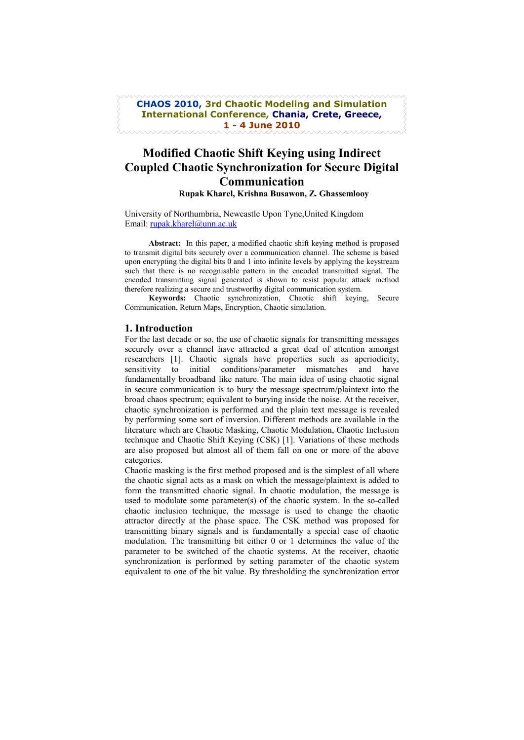## **CHAOS 2010, 3rd Chaotic Modeling and Simulation** International Conference, Chania, Crete, Greece, 1 - 4 June 2010

# **Modified Chaotic Shift Keying using Indirect Coupled Chaotic Synchronization for Secure Digital** Communication Rupak Kharel, Krishna Busawon, Z. Ghassemlooy

University of Northumbria, Newcastle Upon Tyne, United Kingdom

Email: rupak.kharel@unn.ac.uk

Abstract: In this paper, a modified chaotic shift keying method is proposed to transmit digital bits securely over a communication channel. The scheme is based upon encrypting the digital bits 0 and 1 into infinite levels by applying the keystream such that there is no recognisable pattern in the encoded transmitted signal. The encoded transmitting signal generated is shown to resist popular attack method therefore realizing a secure and trustworthy digital communication system.

Keywords: Chaotic synchronization, Chaotic shift keying, Secure Communication, Return Maps, Encryption, Chaotic simulation.

#### 1. Introduction

For the last decade or so, the use of chaotic signals for transmitting messages securely over a channel have attracted a great deal of attention amongst researchers [1]. Chaotic signals have properties such as aperiodicity, sensitivity to initial conditions/parameter mismatches and have fundamentally broadband like nature. The main idea of using chaotic signal in secure communication is to bury the message spectrum/plaintext into the broad chaos spectrum; equivalent to burying inside the noise. At the receiver, chaotic synchronization is performed and the plain text message is revealed by performing some sort of inversion. Different methods are available in the literature which are Chaotic Masking, Chaotic Modulation, Chaotic Inclusion technique and Chaotic Shift Keying (CSK) [1]. Variations of these methods are also proposed but almost all of them fall on one or more of the above categories.

Chaotic masking is the first method proposed and is the simplest of all where the chaotic signal acts as a mask on which the message/plaintext is added to form the transmitted chaotic signal. In chaotic modulation, the message is used to modulate some parameter(s) of the chaotic system. In the so-called chaotic inclusion technique, the message is used to change the chaotic attractor directly at the phase space. The CSK method was proposed for transmitting binary signals and is fundamentally a special case of chaotic modulation. The transmitting bit either 0 or 1 determines the value of the parameter to be switched of the chaotic systems. At the receiver, chaotic synchronization is performed by setting parameter of the chaotic system equivalent to one of the bit value. By thresholding the synchronization error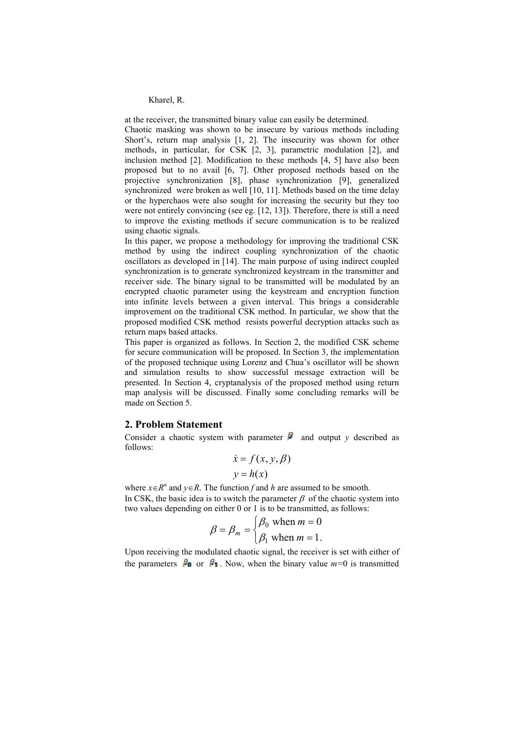at the receiver, the transmitted binary value can easily be determined.

Chaotic masking was shown to be insecure by various methods including Short's, return map analysis [1, 2]. The insecurity was shown for other methods, in particular, for CSK [2, 3], parametric modulation [2], and inclusion method [2]. Modification to these methods [4, 5] have also been proposed but to no avail [6, 7]. Other proposed methods based on the projective synchronization [8], phase synchronization [9], generalized synchronized were broken as well [10, 11]. Methods based on the time delay or the hyperchaos were also sought for increasing the security but they too were not entirely convincing (see eg. [12, 13]). Therefore, there is still a need to improve the existing methods if secure communication is to be realized using chaotic signals.

In this paper, we propose a methodology for improving the traditional CSK method by using the indirect coupling synchronization of the chaotic oscillators as developed in [14]. The main purpose of using indirect coupled synchronization is to generate synchronized keystream in the transmitter and receiver side. The binary signal to be transmitted will be modulated by an encrypted chaotic parameter using the keystream and encryption function into infinite levels between a given interval. This brings a considerable improvement on the traditional CSK method. In particular, we show that the proposed modified CSK method resists powerful decryption attacks such as return maps based attacks.

This paper is organized as follows. In Section 2, the modified CSK scheme for secure communication will be proposed. In Section 3, the implementation of the proposed technique using Lorenz and Chua's oscillator will be shown and simulation results to show successful message extraction will be presented. In Section 4, cryptanalysis of the proposed method using return map analysis will be discussed. Finally some concluding remarks will be made on Section 5.

#### 2. Problem Statement

Consider a chaotic system with parameter  $\beta$  and output y described as follows:

$$
\dot{x} = f(x, y, \beta)
$$

$$
y = h(x)
$$

where  $x \in R^n$  and  $y \in R$ . The function f and h are assumed to be smooth. In CSK, the basic idea is to switch the parameter  $\beta$  of the chaotic system into two values depending on either 0 or 1 is to be transmitted, as follows:

$$
\beta = \beta_m = \begin{cases} \beta_0 & \text{when } m = 0 \\ \beta_1 & \text{when } m = 1. \end{cases}
$$

Upon receiving the modulated chaotic signal, the receiver is set with either of the parameters  $\beta_0$  or  $\beta_1$ . Now, when the binary value  $m=0$  is transmitted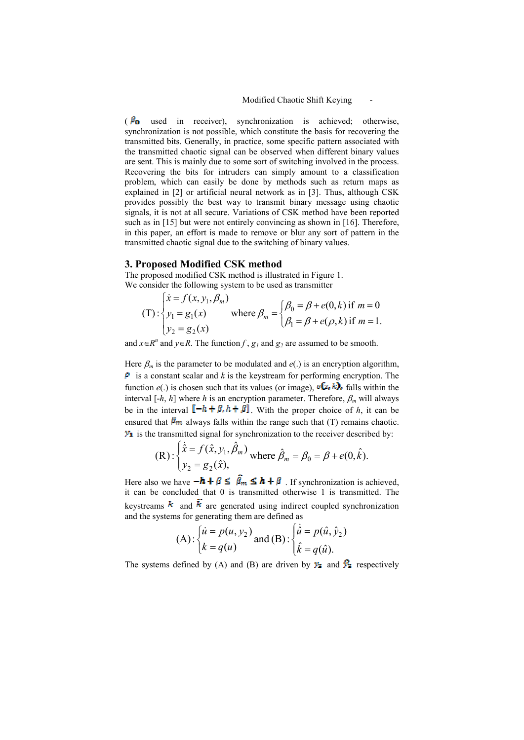( $\beta_{\rm o}$  used in receiver), synchronization is achieved; otherwise, synchronization is not possible, which constitute the basis for recovering the transmitted bits. Generally, in practice, some specific pattern associated with the transmitted chaotic signal can be observed when different binary values are sent. This is mainly due to some sort of switching involved in the process. Recovering the bits for intruders can simply amount to a classification problem, which can easily be done by methods such as return maps as explained in [2] or artificial neural network as in [3]. Thus, although CSK provides possibly the best way to transmit binary message using chaotic signals, it is not at all secure. Variations of CSK method have been reported such as in [15] but were not entirely convincing as shown in [16]. Therefore, in this paper, an effort is made to remove or blur any sort of pattern in the transmitted chaotic signal due to the switching of binary values.

#### 3. Proposed Modified CSK method

The proposed modified CSK method is illustrated in Figure 1. We consider the following system to be used as transmitter

(T): 
$$
\begin{cases} \n\dot{x} = f(x, y_1, \beta_m) \\ \ny_1 = g_1(x) \\ \ny_2 = g_2(x) \n\end{cases}
$$
 where  $\beta_m = \begin{cases} \n\beta_0 = \beta + e(0, k) \text{ if } m = 0 \\ \n\beta_1 = \beta + e(\rho, k) \text{ if } m = 1. \n\end{cases}$ 

and  $x \in R^n$  and  $y \in R$ . The function f,  $g_1$  and  $g_2$  are assumed to be smooth.

Here  $\beta_m$  is the parameter to be modulated and  $e(.)$  is an encryption algorithm,  $\mathbf{P}$  is a constant scalar and k is the keystream for performing encryption. The function  $e(.)$  is chosen such that its values (or image),  $e(z, k)$ , falls within the interval [-h, h] where h is an encryption parameter. Therefore,  $\beta_m$  will always be in the interval  $[-h + \beta, h + \beta]$ . With the proper choice of h, it can be ensured that  $\beta_m$  always falls within the range such that (T) remains chaotic.  $\mathcal{Y}_1$  is the transmitted signal for synchronization to the receiver described by:

(R): 
$$
\begin{cases} \dot{\hat{x}} = f(\hat{x}, y_1, \hat{\beta}_m) \\ y_2 = g_2(\hat{x}), \end{cases}
$$
 where  $\hat{\beta}_m = \beta_0 = \beta + e(0, \hat{k})$ .

Here also we have  $-\hbar + \beta \leq \hat{\beta}_m \leq \hbar + \beta$ . If synchronization is achieved, it can be concluded that 0 is transmitted otherwise 1 is transmitted. The keystreams  $\vec{k}$  and  $\vec{k}$  are generated using indirect coupled synchronization and the systems for generating them are defined as

(A): 
$$
\begin{cases} \n\dot{u} = p(u, y_2) \\ \nk = q(u) \n\end{cases}
$$
 and (B):  $\begin{cases} \n\dot{\hat{u}} = p(\hat{u}, \hat{y}_2) \\ \n\hat{k} = q(\hat{u}). \n\end{cases}$ 

The systems defined by (A) and (B) are driven by  $\mathcal{Y}_2$  and  $\mathcal{Y}_3$  respectively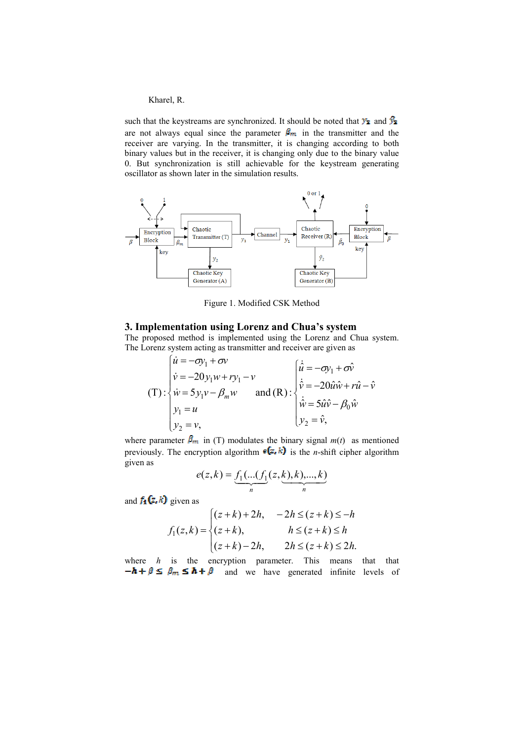such that the keystreams are synchronized. It should be noted that  $\mathcal{Y}_2$  and  $\mathcal{Y}_3$ are not always equal since the parameter  $\beta_m$  in the transmitter and the receiver are varying. In the transmitter, it is changing according to both binary values but in the receiver, it is changing only due to the binary value 0. But synchronization is still achievable for the keystream generating oscillator as shown later in the simulation results.



Figure 1. Modified CSK Method

### 3. Implementation using Lorenz and Chua's system

The proposed method is implemented using the Lorenz and Chua system. The Lorenz system acting as transmitter and receiver are given as

$$
\vec{u} = -\sigma y_1 + \sigma v
$$
\n
$$
\vec{v} = -20y_1w + ry_1 - v
$$
\n
$$
\vec{v} = 5y_1v - \beta_m w \qquad \text{and (R)}: \begin{cases} \n\hat{u} = -\sigma y_1 + \sigma \hat{v} \\ \n\hat{v} = -20\hat{u}\hat{w} + r\hat{u} - \hat{v} \\ \n\hat{v} = -20\hat{u}\hat{w} + r\hat{u} - \hat{v} \\ \n\hat{w} = 5\hat{u}\hat{v} - \beta_0\hat{w} \\ \n\hat{v}_2 = \hat{v}, \n\end{cases}
$$

where parameter  $\beta_m$  in (T) modulates the binary signal  $m(t)$  as mentioned previously. The encryption algorithm  $\epsilon(z, k)$  is the *n*-shift cipher algorithm given as

$$
e(z,k) = \underbrace{f_1(...(f_1(z,k),k),...,k)}_{n}
$$

and  $f_1(z, k)$  given as

$$
f_1(z,k) = \begin{cases} (z+k) + 2h, & -2h \le (z+k) \le -h \\ (z+k), & h \le (z+k) \le h \\ (z+k) - 2h, & 2h \le (z+k) \le 2h. \end{cases}
$$

where  $h$  is the encryption parameter. This means that that  $-\mathbf{h} + \beta \leq \beta_m \leq \mathbf{h} + \beta$  and we have generated infinite levels of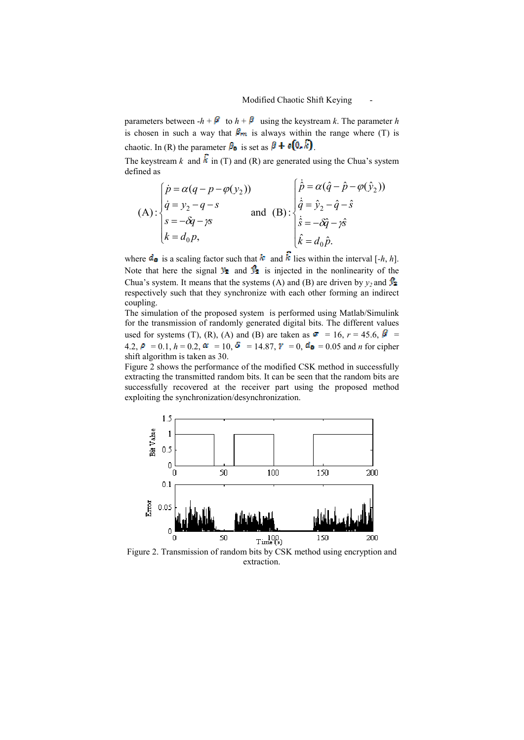parameters between  $-h + \beta$  to  $h + \beta$  using the keystream k. The parameter h is chosen in such a way that  $\beta_{rn}$  is always within the range where (T) is chaotic. In (R) the parameter  $\beta_0$  is set as  $\beta + \epsilon (0, \hat{k})$ .

The keystream k and  $\hat{k}$  in (T) and (R) are generated using the Chua's system defined as  $\epsilon$ .

(A) : 
$$
\begin{cases} \dot{p} = \alpha(q - p - \varphi(y_2)) \\ \dot{q} = y_2 - q - s \\ s = -\delta q - \gamma s \\ k = d_0 p, \end{cases}
$$
 and (B) : 
$$
\begin{cases} \dot{p} = \alpha(\hat{q} - \hat{p} - \varphi(\hat{y}_2)) \\ \dot{\hat{q}} = \hat{y}_2 - \hat{q} - \hat{s} \\ \dot{\hat{s}} = -\delta \hat{q} - \gamma \hat{s} \\ \dot{\hat{k}} = d_0 \hat{p}. \end{cases}
$$

where  $d_{\mathbf{0}}$  is a scaling factor such that  $k$  and  $\hat{k}$  lies within the interval [-h, h]. Note that here the signal  $\mathcal{Y}_2$  and  $\mathcal{Y}_3$  is injected in the nonlinearity of the Chua's system. It means that the systems (A) and (B) are driven by  $y_2$  and  $\mathbb{R}$ respectively such that they synchronize with each other forming an indirect coupling.

The simulation of the proposed system is performed using Matlab/Simulink for the transmission of randomly generated digital bits. The different values used for systems (T), (R), (A) and (B) are taken as  $\vec{r}$  = 16,  $r = 45.6$ ,  $\vec{B}$  = 4.2,  $P = 0.1$ ,  $h = 0.2$ ,  $\alpha = 10$ ,  $\delta = 14.87$ ,  $\gamma = 0$ ,  $d_{\mathbf{0}} = 0.05$  and *n* for cipher shift algorithm is taken as 30.

Figure 2 shows the performance of the modified CSK method in successfully extracting the transmitted random bits. It can be seen that the random bits are successfully recovered at the receiver part using the proposed method exploiting the synchronization/desynchronization.



Figure 2. Transmission of random bits by CSK method using encryption and extraction.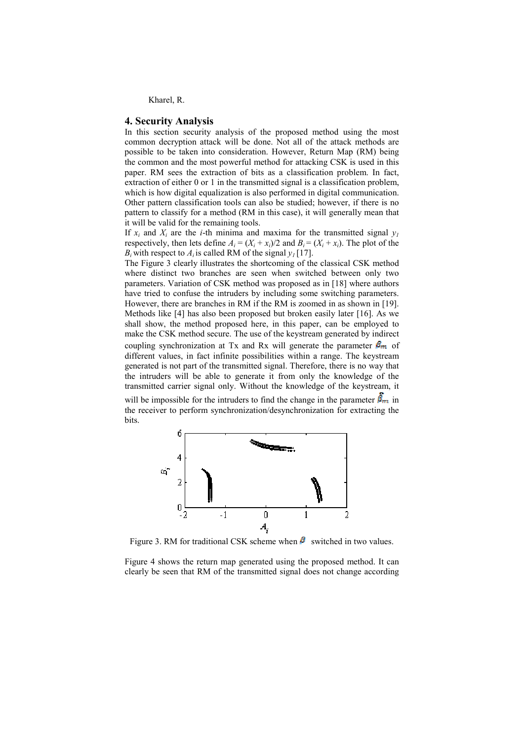#### **4. Security Analysis**

In this section security analysis of the proposed method using the most common decryption attack will be done. Not all of the attack methods are possible to be taken into consideration. However, Return Map (RM) being the common and the most powerful method for attacking CSK is used in this paper. RM sees the extraction of bits as a classification problem. In fact, extraction of either 0 or 1 in the transmitted signal is a classification problem, which is how digital equalization is also performed in digital communication. Other pattern classification tools can also be studied; however, if there is no pattern to classify for a method (RM in this case), it will generally mean that it will be valid for the remaining tools.

If  $x_i$  and  $X_i$  are the *i*-th minima and maxima for the transmitted signal  $y_i$ respectively, then lets define  $A_i = (X_i + x_i)/2$  and  $B_i = (X_i + x_i)$ . The plot of the  $B_i$  with respect to  $A_i$  is called RM of the signal  $y_i$  [17].

The Figure 3 clearly illustrates the shortcoming of the classical CSK method where distinct two branches are seen when switched between only two parameters. Variation of CSK method was proposed as in [18] where authors have tried to confuse the intruders by including some switching parameters. However, there are branches in RM if the RM is zoomed in as shown in [19]. Methods like [4] has also been proposed but broken easily later [16]. As we shall show, the method proposed here, in this paper, can be employed to make the CSK method secure. The use of the keystream generated by indirect coupling synchronization at Tx and Rx will generate the parameter  $\beta_m$  of different values, in fact infinite possibilities within a range. The keystream generated is not part of the transmitted signal. Therefore, there is no way that the intruders will be able to generate it from only the knowledge of the transmitted carrier signal only. Without the knowledge of the keystream, it

will be impossible for the intruders to find the change in the parameter  $\hat{\beta}_m$  in the receiver to perform synchronization/desynchronization for extracting the **hits** 



Figure 3. RM for traditional CSK scheme when  $\beta$  switched in two values.

Figure 4 shows the return map generated using the proposed method. It can clearly be seen that RM of the transmitted signal does not change according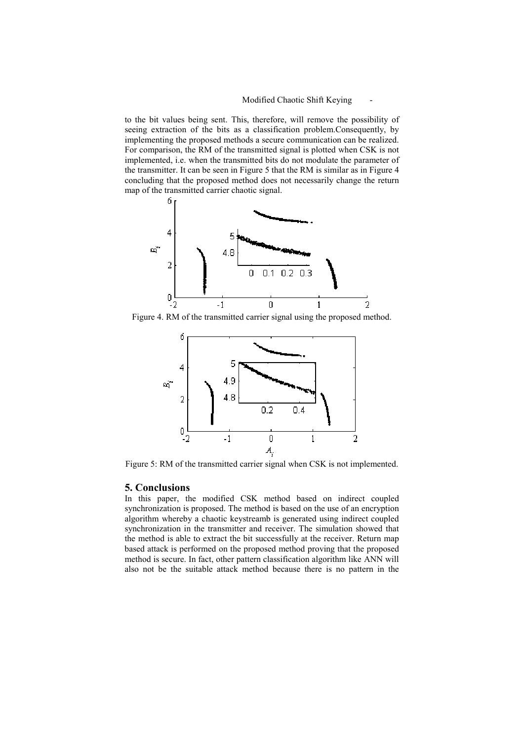# Modified Chaotic Shift Keying

to the bit values being sent. This, therefore, will remove the possibility of seeing extraction of the bits as a classification problem.Consequently, by implementing the proposed methods a secure communication can be realized. For comparison, the RM of the transmitted signal is plotted when CSK is not implemented, i.e. when the transmitted bits do not modulate the parameter of the transmitter. It can be seen in Figure 5 that the RM is similar as in Figure 4 concluding that the proposed method does not necessarily change the return map of the transmitted carrier chaotic signal.



Figure 4. RM of the transmitted carrier signal using the proposed method.



Figure 5: RM of the transmitted carrier signal when CSK is not implemented.

#### **5. Conclusions**

In this paper, the modified CSK method based on indirect coupled synchronization is proposed. The method is based on the use of an encryption algorithm whereby a chaotic keystreamb is generated using indirect coupled synchronization in the transmitter and receiver. The simulation showed that the method is able to extract the bit successfully at the receiver. Return map based attack is performed on the proposed method proving that the proposed method is secure. In fact, other pattern classification algorithm like ANN will also not be the suitable attack method because there is no pattern in the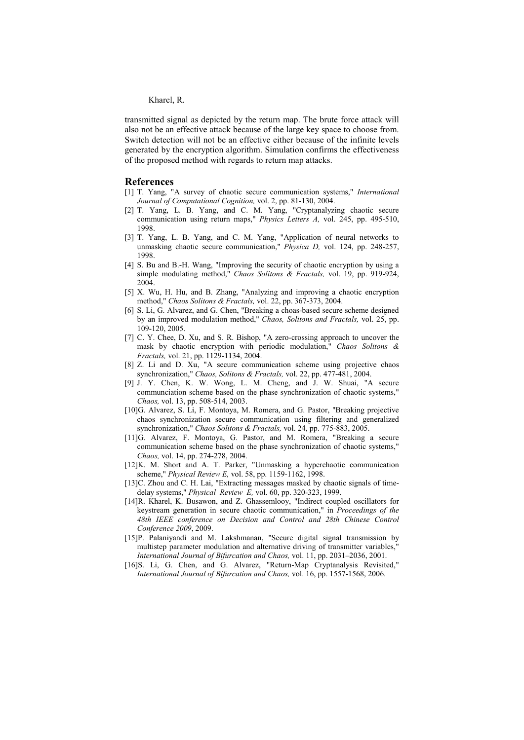transmitted signal as depicted by the return map. The brute force attack will also not be an effective attack because of the large key space to choose from. Switch detection will not be an effective either because of the infinite levels generated by the encryption algorithm. Simulation confirms the effectiveness of the proposed method with regards to return map attacks.

#### **References**

- [1] T. Yang, "A survey of chaotic secure communication systems," *International* Journal of Computational Cognition, vol. 2, pp. 81-130, 2004.
- [2] T. Yang, L. B. Yang, and C. M. Yang, "Cryptanalyzing chaotic secure communication using return maps," *Physics Letters A*, vol. 245, pp. 495-510, 1998
- [3] T. Yang, L. B. Yang, and C. M. Yang, "Application of neural networks to unmasking chaotic secure communication," *Physica D*, vol. 124, pp. 248-257, 1998.
- [4] S. Bu and B.-H. Wang, "Improving the security of chaotic encryption by using a simple modulating method," Chaos Solitons & Fractals, vol. 19, pp. 919-924, 2004
- [5] X. Wu, H. Hu, and B. Zhang, "Analyzing and improving a chaotic encryption method," Chaos Solitons & Fractals, vol. 22, pp. 367-373, 2004.
- [6] S. Li, G. Alvarez, and G. Chen, "Breaking a choas-based secure scheme designed by an improved modulation method," Chaos, Solitons and Fractals, vol. 25, pp. 109-120, 2005.
- [7] C. Y. Chee, D. Xu, and S. R. Bishop, "A zero-crossing approach to uncover the mask by chaotic encryption with periodic modulation," Chaos Solitons & Fractals, vol. 21, pp. 1129-1134, 2004.
- $\lceil 8 \rceil$ Z. Li and D. Xu, "A secure communication scheme using projective chaos synchronization," Chaos, Solitons & Fractals, vol. 22, pp. 477-481, 2004.
- [9] J. Y. Chen, K. W. Wong, L. M. Cheng, and J. W. Shuai, "A secure communciation scheme based on the phase synchronization of chaotic systems," Chaos, vol. 13, pp. 508-514, 2003.
- [10]G. Alvarez, S. Li, F. Montoya, M. Romera, and G. Pastor, "Breaking projective chaos synchronization secure communication using filtering and generalized synchronization," Chaos Solitons & Fractals, vol. 24, pp. 775-883, 2005.
- [11]G. Alvarez, F. Montoya, G. Pastor, and M. Romera, "Breaking a secure communication scheme based on the phase synchronization of chaotic systems," Chaos, vol. 14, pp. 274-278, 2004.
- [12]K. M. Short and A. T. Parker, "Unmasking a hyperchaotic communication scheme," Physical Review E, vol. 58, pp. 1159-1162, 1998.
- [13]C. Zhou and C. H. Lai, "Extracting messages masked by chaotic signals of timedelay systems," Physical Review E, vol. 60, pp. 320-323, 1999.
- [14] R. Kharel, K. Busawon, and Z. Ghassemlooy, "Indirect coupled oscillators for keystream generation in secure chaotic communication," in Proceedings of the 48th IEEE conference on Decision and Control and 28th Chinese Control Conference 2009, 2009.
- [15]P. Palaniyandi and M. Lakshmanan, "Secure digital signal transmission by multistep parameter modulation and alternative driving of transmitter variables, International Journal of Bifurcation and Chaos, vol. 11, pp. 2031-2036, 2001.
- [16]S. Li. G. Chen. and G. Alvarez. "Return-Map Cryptanalysis Revisited." International Journal of Bifurcation and Chaos, vol. 16, pp. 1557-1568, 2006.